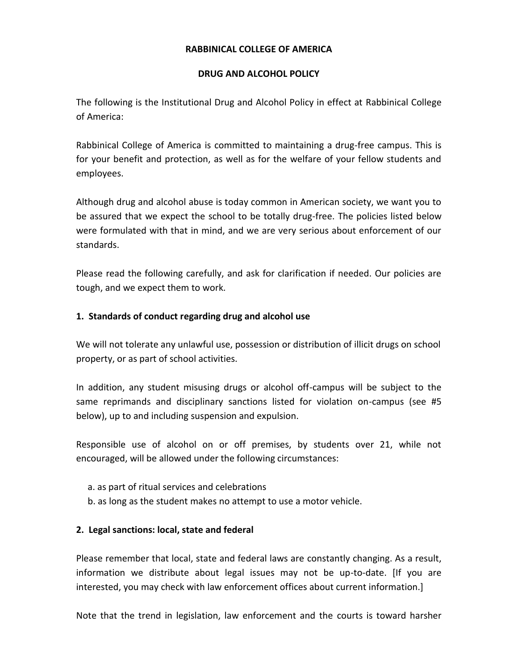#### **RABBINICAL COLLEGE OF AMERICA**

#### **DRUG AND ALCOHOL POLICY**

The following is the Institutional Drug and Alcohol Policy in effect at Rabbinical College of America:

Rabbinical College of America is committed to maintaining a drug-free campus. This is for your benefit and protection, as well as for the welfare of your fellow students and employees.

Although drug and alcohol abuse is today common in American society, we want you to be assured that we expect the school to be totally drug-free. The policies listed below were formulated with that in mind, and we are very serious about enforcement of our standards.

Please read the following carefully, and ask for clarification if needed. Our policies are tough, and we expect them to work.

## **1. Standards of conduct regarding drug and alcohol use**

We will not tolerate any unlawful use, possession or distribution of illicit drugs on school property, or as part of school activities.

In addition, any student misusing drugs or alcohol off-campus will be subject to the same reprimands and disciplinary sanctions listed for violation on-campus (see #5 below), up to and including suspension and expulsion.

Responsible use of alcohol on or off premises, by students over 21, while not encouraged, will be allowed under the following circumstances:

- a. as part of ritual services and celebrations
- b. as long as the student makes no attempt to use a motor vehicle.

## **2. Legal sanctions: local, state and federal**

Please remember that local, state and federal laws are constantly changing. As a result, information we distribute about legal issues may not be up-to-date. [If you are interested, you may check with law enforcement offices about current information.]

Note that the trend in legislation, law enforcement and the courts is toward harsher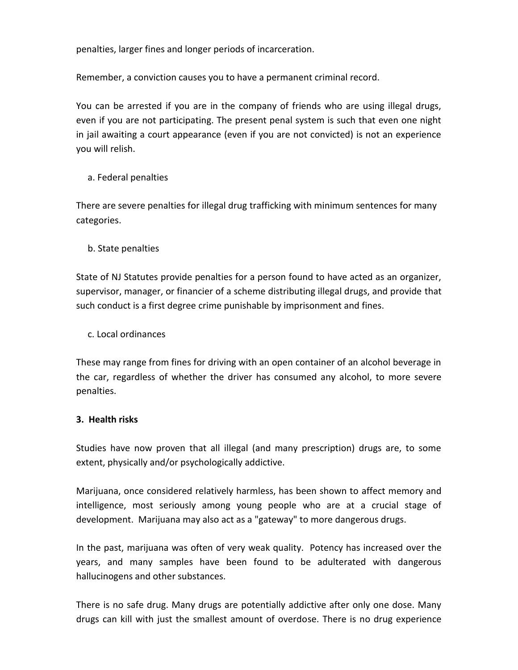penalties, larger fines and longer periods of incarceration.

Remember, a conviction causes you to have a permanent criminal record.

You can be arrested if you are in the company of friends who are using illegal drugs, even if you are not participating. The present penal system is such that even one night in jail awaiting a court appearance (even if you are not convicted) is not an experience you will relish.

a. Federal penalties

There are severe penalties for illegal drug trafficking with minimum sentences for many categories.

b. State penalties

State of NJ Statutes provide penalties for a person found to have acted as an organizer, supervisor, manager, or financier of a scheme distributing illegal drugs, and provide that such conduct is a first degree crime punishable by imprisonment and fines.

c. Local ordinances

These may range from fines for driving with an open container of an alcohol beverage in the car, regardless of whether the driver has consumed any alcohol, to more severe penalties.

## **3. Health risks**

Studies have now proven that all illegal (and many prescription) drugs are, to some extent, physically and/or psychologically addictive.

Marijuana, once considered relatively harmless, has been shown to affect memory and intelligence, most seriously among young people who are at a crucial stage of development. Marijuana may also act as a "gateway" to more dangerous drugs.

In the past, marijuana was often of very weak quality. Potency has increased over the years, and many samples have been found to be adulterated with dangerous hallucinogens and other substances.

There is no safe drug. Many drugs are potentially addictive after only one dose. Many drugs can kill with just the smallest amount of overdose. There is no drug experience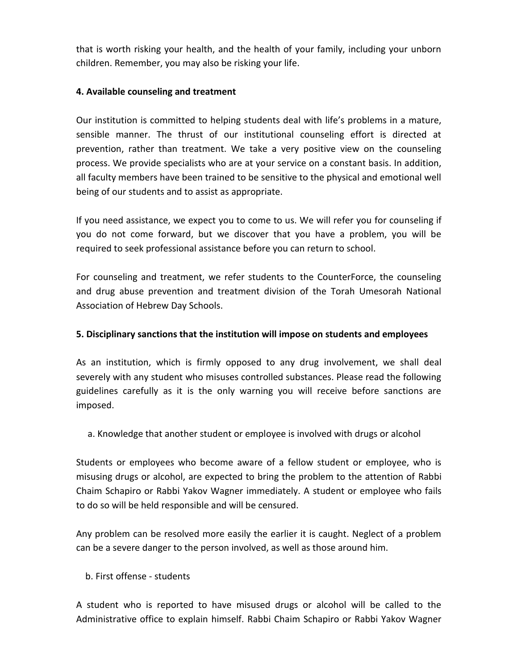that is worth risking your health, and the health of your family, including your unborn children. Remember, you may also be risking your life.

## **4. Available counseling and treatment**

Our institution is committed to helping students deal with life's problems in a mature, sensible manner. The thrust of our institutional counseling effort is directed at prevention, rather than treatment. We take a very positive view on the counseling process. We provide specialists who are at your service on a constant basis. In addition, all faculty members have been trained to be sensitive to the physical and emotional well being of our students and to assist as appropriate.

If you need assistance, we expect you to come to us. We will refer you for counseling if you do not come forward, but we discover that you have a problem, you will be required to seek professional assistance before you can return to school.

For counseling and treatment, we refer students to the CounterForce, the counseling and drug abuse prevention and treatment division of the Torah Umesorah National Association of Hebrew Day Schools.

# **5. Disciplinary sanctions that the institution will impose on students and employees**

As an institution, which is firmly opposed to any drug involvement, we shall deal severely with any student who misuses controlled substances. Please read the following guidelines carefully as it is the only warning you will receive before sanctions are imposed.

a. Knowledge that another student or employee is involved with drugs or alcohol

Students or employees who become aware of a fellow student or employee, who is misusing drugs or alcohol, are expected to bring the problem to the attention of Rabbi Chaim Schapiro or Rabbi Yakov Wagner immediately. A student or employee who fails to do so will be held responsible and will be censured.

Any problem can be resolved more easily the earlier it is caught. Neglect of a problem can be a severe danger to the person involved, as well as those around him.

# b. First offense - students

A student who is reported to have misused drugs or alcohol will be called to the Administrative office to explain himself. Rabbi Chaim Schapiro or Rabbi Yakov Wagner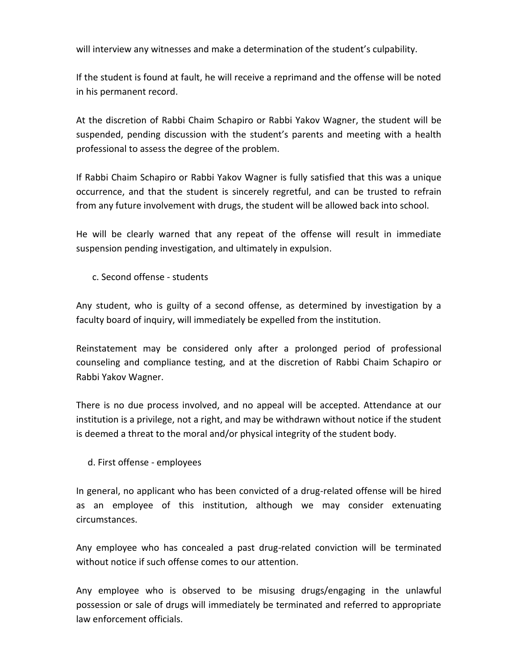will interview any witnesses and make a determination of the student's culpability.

If the student is found at fault, he will receive a reprimand and the offense will be noted in his permanent record.

At the discretion of Rabbi Chaim Schapiro or Rabbi Yakov Wagner, the student will be suspended, pending discussion with the student's parents and meeting with a health professional to assess the degree of the problem.

If Rabbi Chaim Schapiro or Rabbi Yakov Wagner is fully satisfied that this was a unique occurrence, and that the student is sincerely regretful, and can be trusted to refrain from any future involvement with drugs, the student will be allowed back into school.

He will be clearly warned that any repeat of the offense will result in immediate suspension pending investigation, and ultimately in expulsion.

c. Second offense - students

Any student, who is guilty of a second offense, as determined by investigation by a faculty board of inquiry, will immediately be expelled from the institution.

Reinstatement may be considered only after a prolonged period of professional counseling and compliance testing, and at the discretion of Rabbi Chaim Schapiro or Rabbi Yakov Wagner.

There is no due process involved, and no appeal will be accepted. Attendance at our institution is a privilege, not a right, and may be withdrawn without notice if the student is deemed a threat to the moral and/or physical integrity of the student body.

d. First offense - employees

In general, no applicant who has been convicted of a drug-related offense will be hired as an employee of this institution, although we may consider extenuating circumstances.

Any employee who has concealed a past drug-related conviction will be terminated without notice if such offense comes to our attention.

Any employee who is observed to be misusing drugs/engaging in the unlawful possession or sale of drugs will immediately be terminated and referred to appropriate law enforcement officials.